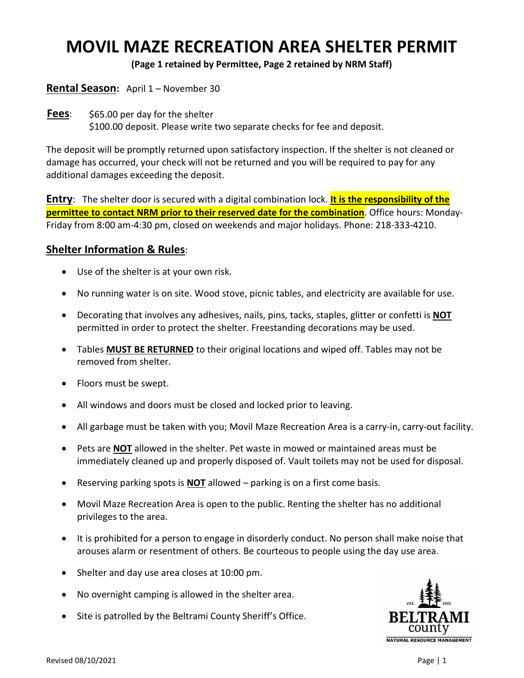## **MOVIL MAZE RECREATION AREA SHELTER PERMIT**

**(Page 1 retained by Permittee, Page 2 retained by NRM Staff)**

## **Rental Season:** April 1 – November 30

**Fees**: \$65.00 per day for the shelter \$100.00 deposit. Please write two separate checks for fee and deposit.

The deposit will be promptly returned upon satisfactory inspection. If the shelter is not cleaned or damage has occurred, your check will not be returned and you will be required to pay for any additional damages exceeding the deposit.

**Entry**: The shelter door is secured with a digital combination lock. **It is the responsibility of the permittee to contact NRM prior to their reserved date for the combination**. Office hours: Monday-Friday from 8:00 am-4:30 pm, closed on weekends and major holidays. Phone: 218-333-4210.

## **Shelter Information & Rules**:

- Use of the shelter is at your own risk.
- No running water is on site. Wood stove, picnic tables, and electricity are available for use.
- Decorating that involves any adhesives, nails, pins, tacks, staples, glitter or confetti is **NOT** permitted in order to protect the shelter. Freestanding decorations may be used.
- Tables **MUST BE RETURNED** to their original locations and wiped off. Tables may not be removed from shelter.
- Floors must be swept.
- All windows and doors must be closed and locked prior to leaving.
- All garbage must be taken with you; Movil Maze Recreation Area is a carry-in, carry-out facility.
- Pets are **NOT** allowed in the shelter. Pet waste in mowed or maintained areas must be immediately cleaned up and properly disposed of. Vault toilets may not be used for disposal.
- Reserving parking spots is **NOT** allowed parking is on a first come basis.
- Movil Maze Recreation Area is open to the public. Renting the shelter has no additional privileges to the area.
- It is prohibited for a person to engage in disorderly conduct. No person shall make noise that arouses alarm or resentment of others. Be courteous to people using the day use area.
- Shelter and day use area closes at 10:00 pm.
- No overnight camping is allowed in the shelter area.
- Site is patrolled by the Beltrami County Sheriff's Office.